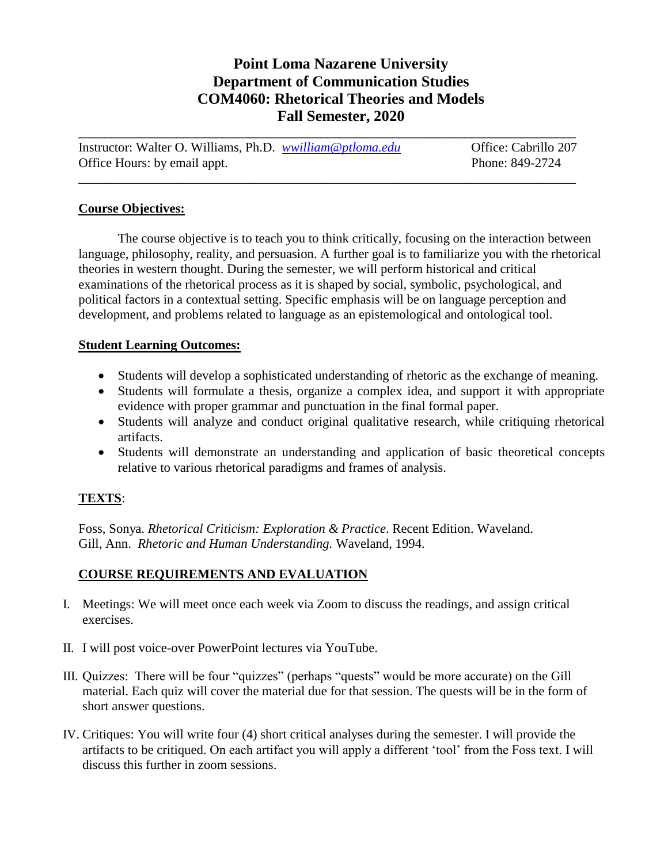## **Point Loma Nazarene University Department of Communication Studies COM4060: Rhetorical Theories and Models Fall Semester, 2020**

| Instructor: Walter O. Williams, Ph.D. <i>wwilliam@ptloma.edu</i> | Office: Cabrillo 207 |
|------------------------------------------------------------------|----------------------|
| Office Hours: by email appt.                                     | Phone: 849-2724      |
|                                                                  |                      |

**\_\_\_\_\_\_\_\_\_\_\_\_\_\_\_\_\_\_\_\_\_\_\_\_\_\_\_\_\_\_\_\_\_\_\_\_\_\_\_\_\_\_\_\_\_\_\_\_\_\_\_\_\_\_\_\_\_\_\_\_\_\_\_\_\_\_\_\_\_\_\_\_\_\_\_\_**

#### **Course Objectives:**

The course objective is to teach you to think critically, focusing on the interaction between language, philosophy, reality, and persuasion. A further goal is to familiarize you with the rhetorical theories in western thought. During the semester, we will perform historical and critical examinations of the rhetorical process as it is shaped by social, symbolic, psychological, and political factors in a contextual setting. Specific emphasis will be on language perception and development, and problems related to language as an epistemological and ontological tool.

#### **Student Learning Outcomes:**

- Students will develop a sophisticated understanding of rhetoric as the exchange of meaning.
- Students will formulate a thesis, organize a complex idea, and support it with appropriate evidence with proper grammar and punctuation in the final formal paper.
- Students will analyze and conduct original qualitative research, while critiquing rhetorical artifacts.
- Students will demonstrate an understanding and application of basic theoretical concepts relative to various rhetorical paradigms and frames of analysis.

### **TEXTS**:

Foss, Sonya. *Rhetorical Criticism: Exploration & Practice*. Recent Edition. Waveland. Gill, Ann. *Rhetoric and Human Understanding.* Waveland, 1994.

### **COURSE REQUIREMENTS AND EVALUATION**

- I. Meetings: We will meet once each week via Zoom to discuss the readings, and assign critical exercises.
- II. I will post voice-over PowerPoint lectures via YouTube.
- III. Quizzes: There will be four "quizzes" (perhaps "quests" would be more accurate) on the Gill material. Each quiz will cover the material due for that session. The quests will be in the form of short answer questions.
- IV. Critiques: You will write four (4) short critical analyses during the semester. I will provide the artifacts to be critiqued. On each artifact you will apply a different 'tool' from the Foss text. I will discuss this further in zoom sessions.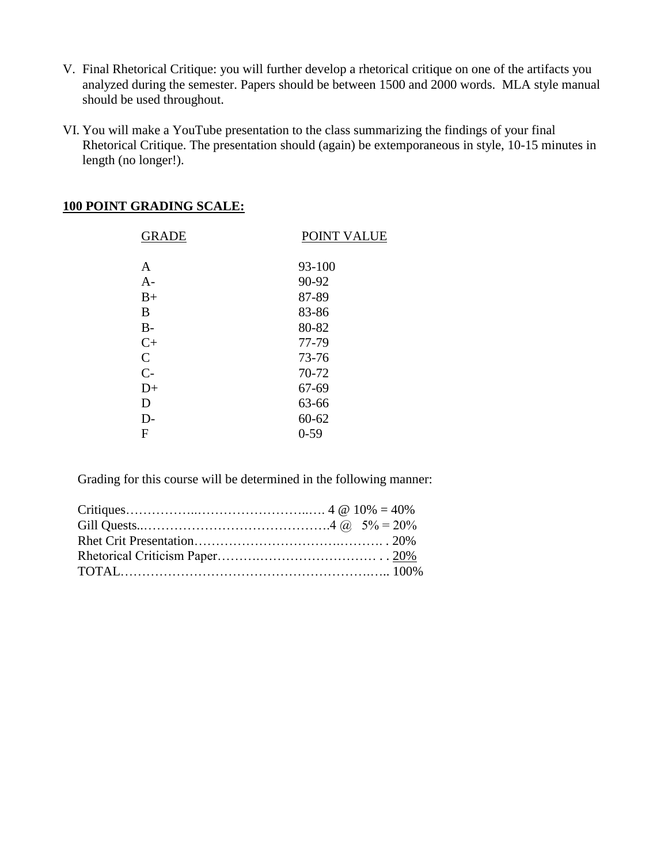- V. Final Rhetorical Critique: you will further develop a rhetorical critique on one of the artifacts you analyzed during the semester. Papers should be between 1500 and 2000 words. MLA style manual should be used throughout.
- VI. You will make a YouTube presentation to the class summarizing the findings of your final Rhetorical Critique. The presentation should (again) be extemporaneous in style, 10-15 minutes in length (no longer!).

|  | <b>100 POINT GRADING SCALE:</b> |  |
|--|---------------------------------|--|
|  |                                 |  |

| <b>GRADE</b> | <b>POINT VALUE</b> |
|--------------|--------------------|
|              |                    |
| A            | 93-100             |
| $A-$         | 90-92              |
| $B+$         | 87-89              |
| В            | 83-86              |
| $B-$         | 80-82              |
| $C+$         | 77-79              |
| $\mathsf{C}$ | 73-76              |
| $C-$         | 70-72              |
| $D+$         | 67-69              |
| D            | 63-66              |
| $D-$         | $60 - 62$          |
| F            | $0 - 59$           |

Grading for this course will be determined in the following manner: